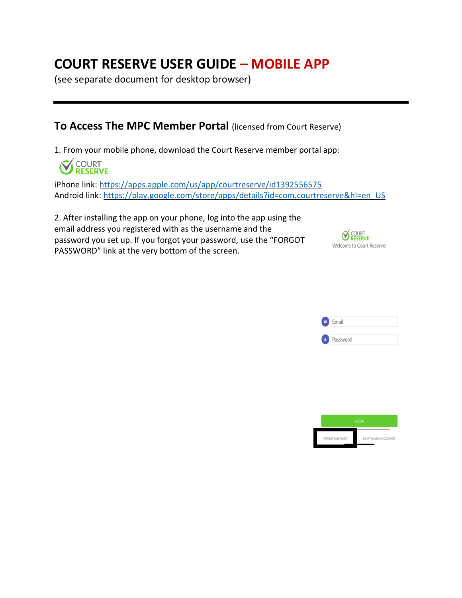# **COURT RESERVE USER GUIDE – MOBILE APP**

(see separate document for desktop browser)

### **To Access The MPC Member Portal** (licensed from Court Reserve)

1. From your mobile phone, download the Court Reserve member portal app:



iPhone link:<https://apps.apple.com/us/app/courtreserve/id1392556575> Android link: [https://play.google.com/store/apps/details?id=com.courtreserve&hl=en\\_US](https://play.google.com/store/apps/details?id=com.courtreserve&hl=en_US)

2. After installing the app on your phone, log into the app using the email address you registered with as the username and the password you set up. If you forgot your password, use the "FORGOT PASSWORD" link at the very bottom of the screen.





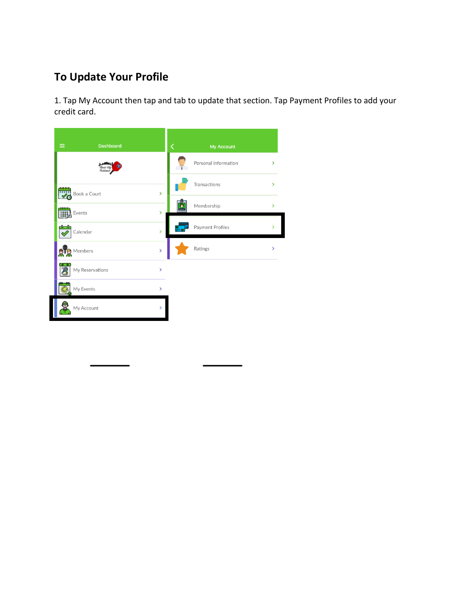### **To Update Your Profile**

1. Tap My Account then tap and tab to update that section. Tap Payment Profiles to add your credit card.

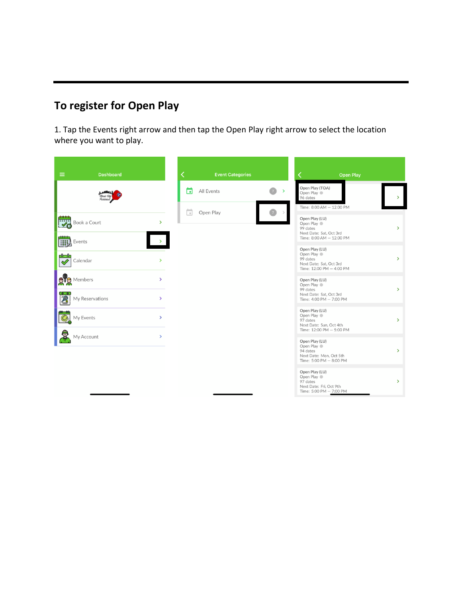## **To register for Open Play**

1. Tap the Events right arrow and then tap the Open Play right arrow to select the location where you want to play.

| $\equiv$<br><b>Dashboard</b>           |                                | <b>Event Categories</b> |               | <b>Open Play</b>                                                                               |                        |
|----------------------------------------|--------------------------------|-------------------------|---------------|------------------------------------------------------------------------------------------------|------------------------|
|                                        |                                | n<br>All Events         | $\rightarrow$ | Open Play (TOA)<br>Open Play<br>96 dates                                                       | $\mathcal{P}$          |
| <b>Pooo</b><br>Book a Court            | $\rightarrow$                  | ä<br>Open Play          |               | Time: 8:00 AM - 12:00 PM<br>Open Play (LU)<br>Open Play<br>99 dates<br>Next Date: Sat, Oct 3rd | $\mathbf{\mathbf{z}}$  |
| Events<br>-0-0-<br>Calendar            | $\rightarrow$                  |                         |               | Time: 8:00 AM - 12:00 PM<br>Open Play (LU)<br>Open Play<br>99 dates                            | $\rightarrow$          |
| <b>DE</b> Members                      | $\rightarrow$                  |                         |               | Next Date: Sat. Oct 3rd<br>Time: 12:00 PM - 4:00 PM<br>Open Play (LU)<br>Open Play             |                        |
| စြစ<br>$\mathbf{A}$<br>My Reservations | $\rightarrow$                  |                         |               | 99 dates<br>Next Date: Sat. Oct 3rd<br>Time: 4:00 PM - 7:00 PM<br>Open Play (LU)               | $\mathbf{r}$           |
| My Events<br>₹<br>My Account           | $\rightarrow$<br>$\mathcal{P}$ |                         |               | Open Play<br>97 dates<br>Next Date: Sun, Oct 4th<br>Time: 12:00 PM - 5:00 PM                   | $\mathbf{\mathcal{P}}$ |
|                                        |                                |                         |               | Open Play (LU)<br>Open Play<br>94 dates<br>Next Date: Mon, Oct 5th<br>Time: 5:00 PM - 8:00 PM  | $\rightarrow$          |
|                                        |                                |                         |               | Open Play (LU)<br>Open Play<br>97 dates<br>Next Date: Fri, Oct 9th<br>Time: 5:00 PM - 7:00 PM  | $\mathcal{P}$          |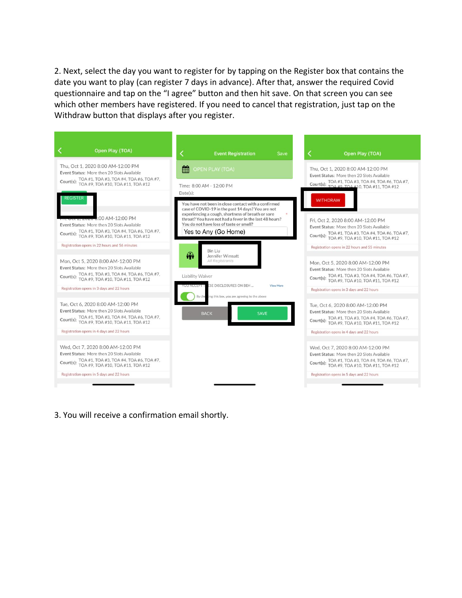2. Next, select the day you want to register for by tapping on the Register box that contains the date you want to play (can register 7 days in advance). After that, answer the required Covid questionnaire and tap on the "I agree" button and then hit save. On that screen you can see which other members have registered. If you need to cancel that registration, just tap on the Withdraw button that displays after you register.

| Open Play (TOA)                                                                                                                                                                     | K<br><b>Event Registration</b>                                                                                                                                                                                          | Open Play (TOA)<br>Save                                                                                                                                                             |
|-------------------------------------------------------------------------------------------------------------------------------------------------------------------------------------|-------------------------------------------------------------------------------------------------------------------------------------------------------------------------------------------------------------------------|-------------------------------------------------------------------------------------------------------------------------------------------------------------------------------------|
| Thu, Oct 1, 2020 8:00 AM-12:00 PM<br>Event Status: More then 20 Slots Available<br>Court(s): TOA #1, TOA #3, TOA #4, TOA #6, TOA #7,<br>Court(s): TOA #9, TOA #10, TOA #11, TOA #12 | 鱛<br><b>OPEN PLAY (TOA)</b>                                                                                                                                                                                             | Thu. Oct 1, 2020 8:00 AM-12:00 PM<br>Event Status: More then 20 Slots Available                                                                                                     |
| REGISTER                                                                                                                                                                            | Time: 8:00 AM - 12:00 PM<br>Date(s):                                                                                                                                                                                    | Court(s): TOA #1, TOA #3, TOA #4, TOA #6, TOA #7,<br>Court(s): TOA #9 TOA #10, TOA #11, TOA #12                                                                                     |
| $:00$ AM-12:00 PM                                                                                                                                                                   | You have not been in close contact with a confirmed<br>case of COVID-19 in the past 14 days? You are not<br>experiencing a cough, shortness of breath or sore<br>throat? You have not had a fever in the last 48 hours? | <b>WITHDRAW</b><br>Fri. Oct 2, 2020 8:00 AM-12:00 PM                                                                                                                                |
| Event Status: More then 20 Slots Available<br>Court(s): TOA #1, TOA #3, TOA #4, TOA #6, TOA #7,<br>TOA #9, TOA #10, TOA #11, TOA #12                                                | You do not have loss of taste or smell?<br>Yes to Any (Go Home)                                                                                                                                                         | Event Status: More then 20 Slots Available<br>Court(s): TOA #1, TOA #3, TOA #4, TOA #6, TOA #7,<br>Court(s): TOA #9, TOA #10, TOA #11, TOA #12                                      |
| Registration opens in 22 hours and 56 minutes                                                                                                                                       | <b>Bin Liu</b><br>$\widehat{m}$<br>Jennifer Wimsatt                                                                                                                                                                     | Registration opens in 22 hours and 55 minutes                                                                                                                                       |
| Mon. Oct 5, 2020 8:00 AM-12:00 PM<br>Event Status: More then 20 Slots Available<br>Court(s): TOA #1, TOA #3, TOA #4, TOA #6, TOA #7,<br>Court(s): TOA #9, TOA #10, TOA #11, TOA #12 | All Registrants<br>Liability Waiver                                                                                                                                                                                     | Mon, Oct 5, 2020 8:00 AM-12:00 PM<br>Event Status: More then 20 Slots Available<br>Court(s): TOA #1, TOA #3, TOA #4, TOA #6, TOA #7,<br>Court(s): TOA #9, TOA #10, TOA #11, TOA #12 |
| Registration opens in 3 days and 22 hours                                                                                                                                           | ESE DISCLOSURES ON BEH<br><b>View More</b><br>ing this box, you are agreeing to the above<br>By che                                                                                                                     | Registration opens in 3 days and 22 hours                                                                                                                                           |
| Tue, Oct 6, 2020 8:00 AM-12:00 PM<br>Event Status: More then 20 Slots Available<br>Court(s): TOA #1, TOA #3, TOA #4, TOA #6, TOA #7,<br>Court(s): TOA #9, TOA #10, TOA #11, TOA #12 | <b>SAVE</b><br><b>BACK</b>                                                                                                                                                                                              | Tue, Oct 6, 2020 8:00 AM-12:00 PM<br>Event Status: More then 20 Slots Available<br>Court(s): TOA #1, TOA #3, TOA #4, TOA #6, TOA #7,<br>Court(s): TOA #9, TOA #10, TOA #11, TOA #12 |
| Registration opens in 4 days and 22 hours                                                                                                                                           |                                                                                                                                                                                                                         | Registration opens in 4 days and 22 hours                                                                                                                                           |
| Wed. Oct 7, 2020 8:00 AM-12:00 PM<br>Event Status: More then 20 Slots Available<br>Court(s): TOA #1, TOA #3, TOA #4, TOA #6, TOA #7,<br>Court(s): TOA #9, TOA #10, TOA #11, TOA #12 |                                                                                                                                                                                                                         | Wed. Oct 7, 2020 8:00 AM-12:00 PM<br>Event Status: More then 20 Slots Available<br>Court(s): TOA #1, TOA #3, TOA #4, TOA #6, TOA #7,<br>TOA #9, TOA #10, TOA #11, TOA #12           |
| Registration opens in 5 days and 22 hours                                                                                                                                           |                                                                                                                                                                                                                         | Registration opens in 5 days and 22 hours                                                                                                                                           |

3. You will receive a confirmation email shortly.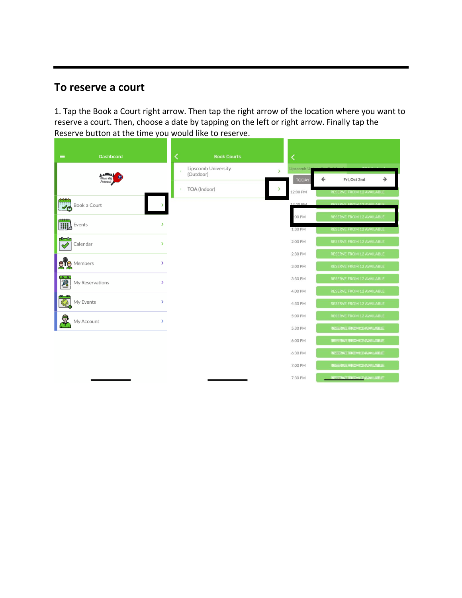#### **To reserve a court**

1. Tap the Book a Court right arrow. Then tap the right arrow of the location where you want to reserve a court. Then, choose a date by tapping on the left or right arrow. Finally tap the Reserve button at the time you would like to reserve.

| $\equiv$<br><b>Dashboard</b>                             | K<br><b>Book Courts</b>                                  | ∢                             |                                                       |
|----------------------------------------------------------|----------------------------------------------------------|-------------------------------|-------------------------------------------------------|
|                                                          | Lipscomb University<br>$\overline{ }$<br>s.<br>(Outdoor) | Lipscomb U                    |                                                       |
|                                                          | TOA (Indoor)<br>$\rightarrow$<br>×.                      | ←<br><b>TODAY</b><br>12:00 PM | →<br>Fri, Oct 2nd<br><b>RESERVE FROM 12 AVAILABLE</b> |
| $\frac{1}{\sqrt{2}}$<br>Book a Court                     |                                                          | 12.30 B <sub>M</sub>          | <b>DESEDVE EDOM 12 AVAILABL</b>                       |
|                                                          |                                                          | :00 PM                        | <b>RESERVE FROM 12 AVAILABLE</b>                      |
| <b>EXECUTE</b><br>Events<br>$\rightarrow$                |                                                          | 1:30 PM                       | <b>RESERVE FROM 12 AVAILABLE</b>                      |
| $\overline{\heartsuit}$<br>Calendar<br>$\mathbf{\bar{}}$ |                                                          | 2:00 PM                       | <b>RESERVE FROM 12 AVAILABLE</b>                      |
|                                                          |                                                          | 2:30 PM                       | <b>RESERVE FROM 12 AVAILABLE</b>                      |
| $\mathbb{R}^{\mathbb{F}}$ g Members<br>$\mathcal{P}$     |                                                          | 3:00 PM                       | <b>RESERVE FROM 12 AVAILABLE</b>                      |
| My Reservations<br>$\rightarrow$                         |                                                          | 3:30 PM                       | <b>RESERVE FROM 12 AVAILABLE</b>                      |
|                                                          |                                                          | 4:00 PM                       | <b>RESERVE FROM 12 AVAILABLE</b>                      |
| My Events<br>$\rightarrow$                               |                                                          | 4:30 PM                       | <b>RESERVE FROM 12 AVAILABLE</b>                      |
| 导<br>$\mathcal{P}$<br>My Account                         |                                                          | 5:00 PM                       | <b>RESERVE FROM 12 AVAILABLE</b>                      |
|                                                          |                                                          | 5:30 PM                       | RESSERVE FROM 12/AVAILARELLE                          |
|                                                          |                                                          | 6:00 PM                       | REPORTED THE COMMIT OF ANXANITY OF REAL PROPERTY.     |
|                                                          |                                                          | 6:30 PM                       | RESSIERALE FIRKDING TRANANILARELIEE                   |
|                                                          |                                                          | 7:00 PM                       | RUSSING HROW TRAWAUARHE                               |
|                                                          |                                                          | 7:30 PM                       | RESERVATE THROWN 13/AWAILLARELIET                     |